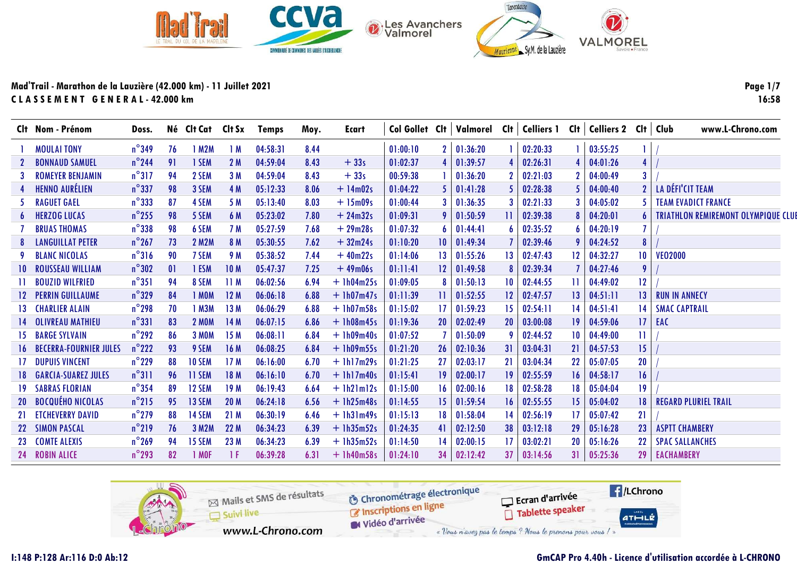

Page 1/7 16:58

|           | Clt Nom - Prénom                 | Doss.           |    | Né Clt Cat Clt Sx |                 | <b>Temps</b> | Moy. | Ecart        |          |                 |                     |                 |          |    | Col Gollet Cit   Valmorel Cit   Celliers 1 Cit   Celliers 2 Cit   Club |                 | www.L-Chrono.com                           |
|-----------|----------------------------------|-----------------|----|-------------------|-----------------|--------------|------|--------------|----------|-----------------|---------------------|-----------------|----------|----|------------------------------------------------------------------------|-----------------|--------------------------------------------|
|           | <b>MOULAI TONY</b>               | $n^{\circ}$ 349 | 76 | 1 M2M             | 1M              | 04:58:31     | 8.44 |              | 01:00:10 | 2 <sup>1</sup>  | 01:36:20            |                 | 02:20:33 |    | 03:55:25                                                               |                 |                                            |
|           | <b>BONNAUD SAMUEL</b>            | $n^{\circ}$ 244 | 91 | 1 SEM             | 2M              | 04:59:04     | 8.43 | $+33s$       | 01:02:37 |                 | 01:39:57            |                 | 02:26:31 |    | 04:01:26                                                               | $\overline{4}$  |                                            |
|           | <b>ROMEYER BENJAMIN</b>          | $n^{\circ}317$  | 94 | 2 SEM             | 3M              | 04:59:04     | 8.43 | $+33s$       | 00:59:38 |                 | 01:36:20            |                 | 02:21:03 |    | 04:00:49                                                               | 3               |                                            |
|           | <b>HENNO AURÉLIEN</b>            | $n^{\circ}$ 337 | 98 | 3 SEM             | 4 M             | 05:12:33     | 8.06 | $+ 14m02s$   | 01:04:22 | 51              | 01:41:28            |                 | 02:28:38 |    | 04:00:40                                                               | $\mathbf{2}$    | LA DÉFI'CIT TEAM                           |
|           | <b>RAGUET GAEL</b>               | $n^{\circ}$ 333 | 87 | 4 SEM             | 5 M             | 05:13:40     | 8.03 | $+ 15m09s$   | 01:00:44 | <b>3</b>        | 01:36:35            |                 | 02:21:33 |    | 04:05:02                                                               |                 | <b>TEAM EVADICT FRANCE</b>                 |
| 6         | <b>HERZOG LUCAS</b>              | $n^{\circ}$ 255 | 98 | 5 SEM             | 6 M             | 05:23:02     | 7.80 | $+24m32s$    | 01:09:31 | 91              | 01:50:59            | 11.             | 02:39:38 |    | 04:20:01                                                               |                 | <b>TRIATHLON REMIREMONT OLYMPIQUE CLUE</b> |
|           | <b>BRUAS THOMAS</b>              | $n^{\circ}$ 338 | 98 | 6 SEM             | 7 M             | 05:27:59     | 7.68 | $+29m28s$    | 01:07:32 | 6               | 01:44:41            | 6               | 02:35:52 |    | 04:20:19                                                               |                 |                                            |
|           | <b>LANGUILLAT PETER</b>          | $n^{\circ}$ 267 | 73 | <b>2 M2M</b>      | 8 M             | 05:30:55     | 7.62 | $+32m24s$    | 01:10:20 | 10 <sup>1</sup> | 01:49:34            |                 | 02:39:46 |    | 04:24:52                                                               | $\bf{8}$        |                                            |
|           | <b>BLANC NICOLAS</b>             | $n^{\circ}316$  | 90 | 7 SEM             | 9 M             | 05:38:52     | 7.44 | $+40m22s$    | 01:14:06 | 13 <sup>1</sup> | 01:55:26            | 13              | 02:47:43 | 12 | 04:32:27                                                               | 10 <sup>°</sup> | <b>VEO2000</b>                             |
| $10-10$   | <b>ROUSSEAU WILLIAM</b>          | $n^{\circ}302$  | 01 | 1 ESM             | 10 <sub>M</sub> | 05:47:37     | 7.25 | $+49m06s$    | 01:11:41 | 12 <sup>1</sup> | 01:49:58            |                 | 02:39:34 |    | 04:27:46                                                               | 9               |                                            |
|           | <b>BOUZID WILFRIED</b>           | $n^{\circ}351$  | 94 | 8 SEM             | 11M             | 06:02:56     | 6.94 | $+1h04m25s$  | 01:09:05 | 8               | 01:50:13            | $10^{\circ}$    | 02:44:55 | 11 | 04:49:02                                                               | 12              |                                            |
|           | <b>12 PERRIN GUILLAUME</b>       | $n^{\circ}329$  | 84 | 1 MOM             | 12M             | 06:06:18     | 6.88 | $+$ 1h07m47s | 01:11:39 |                 | 01:52:55            | 12 <sup>°</sup> | 02:47:57 | 13 | 04:51:11                                                               | 13              | <b>RUN IN ANNECY</b>                       |
|           | <b>13 CHARLIER ALAIN</b>         | $n^{\circ}$ 298 | 70 | 1 M3M             | 13M             | 06:06:29     | 6.88 | $+ 1h07m58s$ | 01:15:02 | $\overline{17}$ | 01:59:23            | 15 <sup>2</sup> | 02:54:11 | 14 | 04:51:41                                                               | 14              | <b>SMAC CAPTRAIL</b>                       |
|           | <b>14 OLIVREAU MATHIEU</b>       | $n^{\circ}331$  | 83 | <b>2 MOM</b>      | 14M             | 06:07:15     | 6.86 | $+1h08m45s$  | 01:19:36 | 20 <sub>1</sub> | 02:02:49            | <b>20</b>       | 03:00:08 | 19 | 04:59:06                                                               | 17              | EAC                                        |
| 15.       | <b>BARGE SYLVAIN</b>             | $n^{\circ}292$  | 86 | <b>3 MOM</b>      | 15M             | 06:08:11     | 6.84 | $+1h09m40s$  | 01:07:52 |                 | 01:50:09            |                 | 02:44:52 | 10 | 04:49:00                                                               |                 |                                            |
|           | <b>16 BECERRA-FOURNIER JULES</b> | $n^{\circ}222$  | 93 | 9 SEM             | 16 M            | 06:08:25     | 6.84 | $+1h09m55s$  | 01:21:20 | 26 <sub>1</sub> | 02:10:36            | 31              | 03:04:31 | 21 | 04:57:53                                                               | 15              |                                            |
|           | <b>DUPUIS VINCENT</b>            | $n^{\circ}$ 229 | 88 | <b>10 SEM</b>     | 17 <sub>M</sub> | 06:16:00     | 6.70 | $+1h17m29s$  | 01:21:25 | 27              | 02:03:17            | 21              | 03:04:34 | 22 | 05:07:05                                                               | 20              |                                            |
| 18.       | <b>GARCIA-SUAREZ JULES</b>       | $n^{\circ}311$  | 96 | <b>11 SEM</b>     | 18 M            | 06:16:10     | 6.70 | $+1h17m40s$  | 01:15:41 | 19 <sup>1</sup> | 02:00:17            | 19              | 02:55:59 | 16 | 04:58:17                                                               | 16              |                                            |
| 19        | <b>SABRAS FLORIAN</b>            | $n^{\circ}$ 354 | 89 | 12 SEM            | 19 <sub>M</sub> | 06:19:43     | 6.64 | $+$ 1h21m12s | 01:15:00 | 16 <sup>1</sup> | 02:00:16            | 18              | 02:58:28 | 18 | 05:04:04                                                               | 19              |                                            |
| <b>20</b> | <b>BOCQUÉHO NICOLAS</b>          | $n^{\circ}215$  | 95 | 13 SEM            | 20 <sub>M</sub> | 06:24:18     | 6.56 | $+$ 1h25m48s | 01:14:55 | 15 <sup>1</sup> | 01:59:54            | 16              | 02:55:55 | 15 | 05:04:02                                                               | 18              | <b>REGARD PLURIEL TRAIL</b>                |
| 21        | <b>ETCHEVERRY DAVID</b>          | $n^{\circ}$ 279 | 88 | <b>14 SEM</b>     | 21M             | 06:30:19     | 6.46 | $+$ 1h31m49s | 01:15:13 | 18 <sup>1</sup> | 01:58:04            | 14              | 02:56:19 | 17 | 05:07:42                                                               | 21              |                                            |
|           | 22 SIMON PASCAL                  | $n^{\circ}$ 219 | 76 | 3 M2M             | 22M             | 06:34:23     | 6.39 | $+1h35m52s$  | 01:24:35 | 41              | 02:12:50            | 38              | 03:12:18 | 29 | 05:16:28                                                               | 23              | <b>ASPTT CHAMBERY</b>                      |
|           | 23 COMTE ALEXIS                  | $n^{\circ}$ 269 | 94 | <b>15 SEM</b>     | 23 M            | 06:34:23     | 6.39 | $+$ 1h35m52s | 01:14:50 | 14              | 02:00:15            | 17              | 03:02:21 | 20 | 05:16:26                                                               | 22              | <b>SPAC SALLANCHES</b>                     |
|           | 24 ROBIN ALICE                   | $n^{\circ}$ 293 | 82 | 1 MOF             | -1 F            | 06:39:28     | 6.31 | $+1h40m58s$  | 01:24:10 |                 | $34 \quad 02:12:42$ | 37              | 03:14:56 | 31 | 05:25:36                                                               | 29              | <b>EACHAMBERY</b>                          |

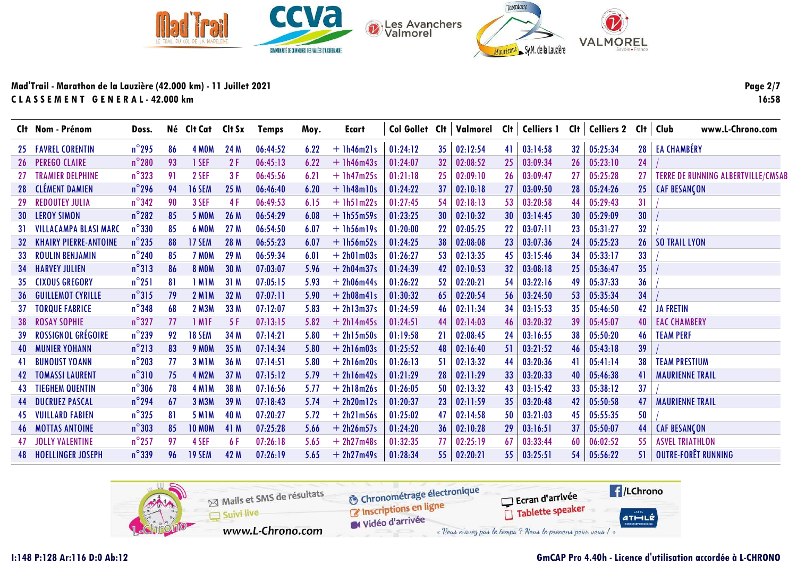

Page 2/7 16:58

|     | Clt Nom - Prénom             | Doss.           |     | Né Clt Cat        | Clt Sx | <b>Temps</b> | Moy. | Ecart        | Col Gollet Clt |    | Valmorel | Clt | <b>Celliers 1</b> | Clt | Celliers 2 Clt   Club |    | www.L-Chrono.com                          |
|-----|------------------------------|-----------------|-----|-------------------|--------|--------------|------|--------------|----------------|----|----------|-----|-------------------|-----|-----------------------|----|-------------------------------------------|
| 25  | <b>FAVREL CORENTIN</b>       | $n^{\circ}$ 295 | 86  | 4 MOM             | 24 M   | 06:44:52     | 6.22 | $+$ 1h46m21s | 01:24:12       | 35 | 02:12:54 | 41  | 03:14:58          | 32  | 05:25:34              | 28 | <b>EA CHAMBÉRY</b>                        |
| 26  | <b>PEREGO CLAIRE</b>         | $n^{\circ}280$  | 93  | 1 SEF             | 2F     | 06:45:13     | 6.22 | $+1h46m43s$  | 01:24:07       | 32 | 02:08:52 | 25  | 03:09:34          | 26  | 05:23:10              | 24 |                                           |
|     | <b>TRAMIER DELPHINE</b>      | $n^{\circ}323$  | 91  | 2 SEF             | 3F     | 06:45:56     | 6.21 | $+$ 1h47m25s | 01:21:18       | 25 | 02:09:10 | 26  | 03:09:47          | 27  | 05:25:28              | 27 | <b>TERRE DE RUNNING ALBERTVILLE/CMSAB</b> |
| 28  | <b>CLÉMENT DAMIEN</b>        | $n^{\circ}$ 296 | 94  | <b>16 SEM</b>     | 25 M   | 06:46:40     | 6.20 | $+1h48m10s$  | 01:24:22       | 37 | 02:10:18 | 27  | 03:09:50          | 28  | 05:24:26              | 25 | <b>CAF BESANÇON</b>                       |
| 29  | <b>REDOUTEY JULIA</b>        | $n^{\circ}342$  | 90  | 3 SEF             | 4 F    | 06:49:53     | 6.15 | $+$ 1h51m22s | 01:27:45       | 54 | 02:18:13 | 53  | 03:20:58          | 44  | 05:29:43              | 31 |                                           |
| 30  | <b>LEROY SIMON</b>           | $n^{\circ}282$  | 85  | <b>5 MOM</b>      | 26 M   | 06:54:29     | 6.08 | $+1h55m59s$  | 01:23:25       | 30 | 02:10:32 | 30  | 03:14:45          | 30  | 05:29:09              | 30 |                                           |
| 31  | <b>VILLACAMPA BLASI MARC</b> | $n^{\circ}330$  | 85  | <b>6 MOM</b>      | 27 M   | 06:54:50     | 6.07 | $+$ 1h56m19s | 01:20:00       | 22 | 02:05:25 | 22  | 03:07:11          | 23  | 05:31:27              | 32 |                                           |
|     | <b>KHAIRY PIERRE-ANTOINE</b> | $n^{\circ}$ 235 | 88  | 17 SEM            | 28 M   | 06:55:23     | 6.07 | $+$ 1h56m52s | 01:24:25       | 38 | 02:08:08 | 23  | 03:07:36          | 24  | 05:25:23              | 26 | <b>SO TRAIL LYON</b>                      |
| 33  | <b>ROULIN BENJAMIN</b>       | $n^{\circ}$ 240 | 85  | 7 MOM             | 29 M   | 06:59:34     | 6.01 | $+ 2h01m03s$ | 01:26:27       | 53 | 02:13:35 | 45  | 03:15:46          | 34  | 05:33:17              | 33 |                                           |
| -34 | <b>HARVEY JULIEN</b>         | $n^{\circ}313$  | -86 | <b>8 MOM</b>      | 30 M   | 07:03:07     | 5.96 | $+ 2h04m37s$ | 01:24:39       | 42 | 02:10:53 | 32  | 03:08:18          | 25  | 05:36:47              | 35 |                                           |
| 35. | <b>CIXOUS GREGORY</b>        | $n^{\circ}251$  | 81  | <b>IMIM</b>       | 31 M   | 07:05:15     | 5.93 | $+ 2h06m44s$ | 01:26:22       | 52 | 02:20:21 | 54  | 03:22:16          | 49  | 05:37:33              | 36 |                                           |
| -36 | <b>GUILLEMOT CYRILLE</b>     | $n^{\circ}315$  | 79  | <b>2 M1M</b>      | 32 M   | 07:07:11     | 5.90 | $+ 2h08m41s$ | 01:30:32       | 65 | 02:20:54 | 56  | 03:24:50          | 53  | 05:35:34              | 34 |                                           |
| 37  | <b>TORQUE FABRICE</b>        | $n^{\circ}$ 348 | 68  | 2 M3M             | 33 M   | 07:12:07     | 5.83 | $+ 2h13m37s$ | 01:24:59       | 46 | 02:11:34 | 34  | 03:15:53          | 35  | 05:46:50              | 42 | <b>JA FRETIN</b>                          |
| 38  | <b>ROSAY SOPHIE</b>          | $n^{\circ}327$  | 77  | 1 M <sub>IF</sub> | 5F     | 07:13:15     | 5.82 | $+ 2h14m45s$ | 01:24:51       | 44 | 02:14:03 | 46  | 03:20:32          | 39  | 05:45:07              | 40 | <b>EAC CHAMBERY</b>                       |
| 39  | ROSSIGNOL GRÉGOIRE           | $n^{\circ}$ 239 | 92  | <b>18 SEM</b>     | 34 M   | 07:14:21     | 5.80 | $+ 2h15m50s$ | 01:19:58       | 21 | 02:08:45 | 24  | 03:16:55          | 38  | 05:50:20              | 46 | <b>TEAM PERF</b>                          |
| 40  | <b>MUNIER YOHANN</b>         | $n^{\circ}$ 213 | 83  | <b>9 MOM</b>      | 35 M   | 07:14:34     | 5.80 | $+ 2h16m03s$ | 01:25:52       | 48 | 02:16:40 | -51 | 03:21:52          | 46  | 05:43:18              | 39 |                                           |
|     | <b>BUNOUST YOANN</b>         | $n^{\circ}$ 203 | 77  | 3 MIM             | 36 M   | 07:14:51     | 5.80 | $+ 2h16m20s$ | 01:26:13       | 51 | 02:13:32 | 44  | 03:20:36          | 41  | 05:41:14              | 38 | <b>TEAM PRESTIUM</b>                      |
|     | <b>TOMASSI LAURENT</b>       | $n^{\circ}310$  | 75  | <b>4 M2M</b>      | 37 M   | 07:15:12     | 5.79 | $+ 2h16m42s$ | 01:21:29       | 28 | 02:11:29 | 33  | 03:20:33          | 40  | 05:46:38              | 41 | <b>MAURIENNE TRAIL</b>                    |
|     | TIEGHEM QUENTIN              | $n^{\circ}306$  | 78  | 4 MIM             | 38 M   | 07:16:56     | 5.77 | $+ 2h18m26s$ | 01:26:05       | 50 | 02:13:32 | 43  | 03:15:42          | 33  | 05:38:12              | 37 |                                           |
| 44  | <b>DUCRUEZ PASCAL</b>        | $n^{\circ}$ 294 | 67  | 3 M3M             | 39 M   | 07:18:43     | 5.74 | $+ 2h20m12s$ | 01:20:37       | 23 | 02:11:59 | 35  | 03:20:48          | 42  | 05:50:58              | 47 | <b>MAURIENNE TRAIL</b>                    |
| 45  | <b>VUILLARD FABIEN</b>       | $n^{\circ}325$  | 81  | <b>5 M1M</b>      | 40 M   | 07:20:27     | 5.72 | $+ 2h21m56s$ | 01:25:02       | 47 | 02:14:58 | 50  | 03:21:03          | 45  | 05:55:35              | 50 |                                           |
| 46  | <b>MOTTAS ANTOINE</b>        | $n^{\circ}303$  | 85  | <b>10 MOM</b>     | 41 M   | 07:25:28     | 5.66 | $+ 2h26m57s$ | 01:24:20       | 36 | 02:10:28 | 29  | 03:16:51          | 37  | 05:50:07              | 44 | <b>CAF BESANÇON</b>                       |
|     | <b>JOLLY VALENTINE</b>       | $n^{\circ}$ 257 | 97  | 4 SEF             | 6 F    | 07:26:18     | 5.65 | $+ 2h27m48s$ | 01:32:35       | 77 | 02:25:19 | 67  | 03:33:44          | 60  | 06:02:52              | 55 | <b>ASVEL TRIATHLON</b>                    |
|     | <b>48 HOELLINGER JOSEPH</b>  | $n^{\circ}$ 339 | 96  | 19 SEM            | 42 M   | 07:26:19     | 5.65 | $+ 2h27m49s$ | 01:28:34       | 55 | 02:20:21 | 55. | 03:25:51          | 54  | 05:56:22              | 51 | OUTRE-FORÊT RUNNING                       |

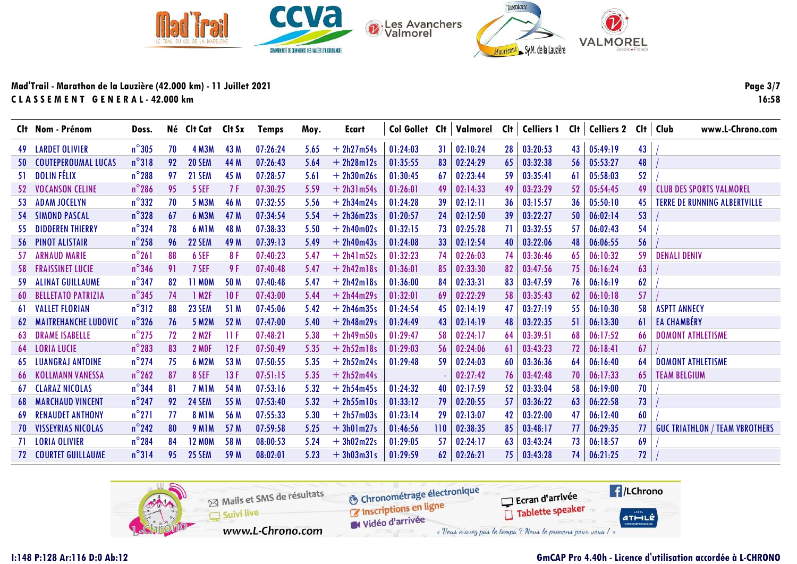

Page 3/7 16:58

|     | Clt Nom - Prénom            | Doss.           |     | Né Clt Cat Clt Sx  |      | Temps    | Moy. | Ecart        | Col Gollet Clt |     | Valmorel | Clt | <b>Celliers 1</b> |     | CIt   Celliers 2 CIt |    | Club<br>www.L-Chrono.com              |
|-----|-----------------------------|-----------------|-----|--------------------|------|----------|------|--------------|----------------|-----|----------|-----|-------------------|-----|----------------------|----|---------------------------------------|
| 49  | <b>LARDET OLIVIER</b>       | $n^{\circ}305$  | 70  | <b>4 M3M</b>       | 43 M | 07:26:24 | 5.65 | $+ 2h27m54s$ | 01:24:03       | 31  | 02:10:24 | 28  | 03:20:53          | 43  | 05:49:19             | 43 |                                       |
| 50  | <b>COUTEPEROUMAL LUCAS</b>  | $n^{\circ}318$  | 92  | <b>20 SEM</b>      | 44 M | 07:26:43 | 5.64 | $+ 2h28m12s$ | 01:35:55       | 83  | 02:24:29 | 65  | 03:32:38          | 56  | 05:53:27             | 48 |                                       |
| 51  | <b>DOLIN FÉLIX</b>          | $n^{\circ}$ 288 | 97  | 21 SEM             | 45 M | 07:28:57 | 5.61 | $+ 2h30m26s$ | 01:30:45       | 67  | 02:23:44 | -59 | 03:35:41          | 61  | 05:58:03             | 52 |                                       |
| -52 | <b>VOCANSON CELINE</b>      | $n^{\circ}$ 286 | 95  | 5 SEF              | 7 F  | 07:30:25 | 5.59 | $+ 2h31m54s$ | 01:26:01       | 49  | 02:14:33 | 49  | 03:23:29          | 52  | 05:54:45             | 49 | <b>CLUB DES SPORTS VALMOREL</b>       |
| -53 | <b>ADAM JOCELYN</b>         | $n^{\circ}332$  | 70  | <b>5 M3M</b>       | 46 M | 07:32:55 | 5.56 | $+ 2h34m24s$ | 01:24:28       | 39  | 02:12:11 | 36  | 03:15:57          | 36  | 05:50:10             | 45 | <b>TERRE DE RUNNING ALBERTVILLE</b>   |
| 54  | <b>SIMOND PASCAL</b>        | $n^{\circ}328$  | 67  | <b>6 M3M</b>       | 47 M | 07:34:54 | 5.54 | $+ 2h36m23s$ | 01:20:57       | 24  | 02:12:50 | 39  | 03:22:27          | 50  | 06:02:14             | 53 |                                       |
| -55 | <b>DIDDEREN THIERRY</b>     | $n^{\circ}324$  | 78  | 6 MIM              | 48 M | 07:38:33 | 5.50 | $+ 2h40m02s$ | 01:32:15       | 73  | 02:25:28 | 71  | 03:32:55          | 57  | 06:02:43             | 54 |                                       |
| -56 | <b>PINOT ALISTAIR</b>       | $n^{\circ}$ 258 | 96  | <b>22 SEM</b>      | 49 M | 07:39:13 | 5.49 | $+ 2h40m43s$ | 01:24:08       | 33  | 02:12:54 | 40  | 03:22:06          | 48  | 06:06:55             | 56 |                                       |
| -57 | <b>ARNAUD MARIE</b>         | $n^{\circ}261$  | 88  | 6 SEF              | 8 F  | 07:40:23 | 5.47 | $+ 2h41m52s$ | 01:32:23       | 74  | 02:26:03 | 74  | 03:36:46          | -65 | 06:10:32             | 59 | <b>DENALI DENIV</b>                   |
| -58 | <b>FRAISSINET LUCIE</b>     | $n^{\circ}$ 346 | 91  | 7 SEF              | 9 F  | 07:40:48 | 5.47 | $+ 2h42m18s$ | 01:36:01       | 85  | 02:33:30 | 82  | 03:47:56          | 75  | 06:16:24             | 63 |                                       |
| -59 | <b>ALINAT GUILLAUME</b>     | $n^{\circ}$ 347 | 82  | <b>11 MOM</b>      | 50 M | 07:40:48 | 5.47 | $+ 2h42m18s$ | 01:36:00       | 84  | 02:33:31 | 83  | 03:47:59          | 76  | 06:16:19             | 62 |                                       |
| -60 | <b>BELLETATO PATRIZIA</b>   | $n^{\circ}$ 345 | 74  | 1 M2F              | 10F  | 07:43:00 | 5.44 | $+ 2h44m29s$ | 01:32:01       | 69  | 02:22:29 | 58  | 03:35:43          | 62  | 06:10:18             | 57 |                                       |
| 61  | <b>VALLET FLORIAN</b>       | $n^{\circ}312$  | 88  | 23 SEM             | 51 M | 07:45:06 | 5.42 | $+ 2h46m35s$ | 01:24:54       | 45  | 02:14:19 | 47  | 03:27:19          | 55  | 06:10:30             | 58 | <b>ASPTT ANNECY</b>                   |
| 62  | <b>MAITREHANCHE LUDOVIC</b> | $n^{\circ}$ 326 | 76  | <b>5 M2M</b>       | 52 M | 07:47:00 | 5.40 | $+ 2h48m29s$ | 01:24:49       | 43  | 02:14:19 | 48  | 03:22:35          | 51  | 06:13:30             | 61 | <b>EA CHAMBÉRY</b>                    |
| 63  | <b>DRAME ISABELLE</b>       | $n^{\circ}$ 275 | 72  | <b>2 M2F</b>       | 11F  | 07:48:21 | 5.38 | $+ 2h49m50s$ | 01:29:47       | 58  | 02:24:17 | 64  | 03:39:51          | 68  | 06:17:52             | 66 | <b>DOMONT ATHLETISME</b>              |
| 64  | <b>LORIA LUCIE</b>          | $n^{\circ}$ 283 | 83  | <b>2 MOF</b>       | 12F  | 07:50:49 | 5.35 | $+ 2h52m18s$ | 01:29:03       | -56 | 02:24:06 | 61  | 03:43:23          | 72  | 06:18:41             | 67 |                                       |
| 65  | <b>LUANGRAJ ANTOINE</b>     | $n^{\circ}$ 274 | 75  | <b>6 M2M</b>       | 53 M | 07:50:55 | 5.35 | $+ 2h52m24s$ | 01:29:48       | 59  | 02:24:03 | 60  | 03:36:36          | 64  | 06:16:40             | 64 | <b>DOMONT ATHLETISME</b>              |
| 66  | <b>KOLLMANN VANESSA</b>     | $n^{\circ}$ 262 | 87  | 8 SEF              | 13F  | 07:51:15 | 5.35 | $+ 2h52m44s$ |                |     | 02:27:42 | 76  | 03:42:48          | 70  | 06:17:33             | 65 | <b>TEAM BELGIUM</b>                   |
| 67  | <b>CLARAZ NICOLAS</b>       | $n^{\circ}$ 344 | 81  | 7 M <sub>1</sub> M | 54 M | 07:53:16 | 5.32 | $+ 2h54m45s$ | 01:24:32       | 40  | 02:17:59 | 52  | 03:33:04          | 58  | 06:19:00             | 70 |                                       |
| 68  | <b>MARCHAUD VINCENT</b>     | $n^{\circ}$ 247 | 92  | <b>24 SEM</b>      | 55 M | 07:53:40 | 5.32 | $+ 2h55m10s$ | 01:33:12       | 79  | 02:20:55 | 57  | 03:36:22          | 63  | 06:22:58             | 73 |                                       |
| -69 | <b>RENAUDET ANTHONY</b>     | $n^{\circ}271$  | 77  | <b>8 M1M</b>       | 56 M | 07:55:33 | 5.30 | $+ 2h57m03s$ | 01:23:14       | 29  | 02:13:07 | 42  | 03:22:00          | 47  | 06:12:40             | 60 |                                       |
| 70  | VISSEYRIAS NICOLAS          | $n^{\circ}$ 242 | 80  | <b>9 M1M</b>       | 57 M | 07:59:58 | 5.25 | $+3h01m27s$  | 01:46:56       | 110 | 02:38:35 | 85  | 03:48:17          | 77  | 06:29:35             | 77 | <b>GUC TRIATHLON / TEAM VBROTHERS</b> |
|     | <b>71 LORIA OLIVIER</b>     | $n^{\circ}$ 284 | -84 | <b>12 MOM</b>      | 58 M | 08:00:53 | 5.24 | $+3h02m22s$  | 01:29:05       | 57  | 02:24:17 | 63  | 03:43:24          | 73  | 06:18:57             | 69 |                                       |
| 72  | <b>COURTET GUILLAUME</b>    | $n^{\circ}$ 314 | 95  | <b>25 SEM</b>      | 59 M | 08:02:01 | 5.23 | $+3h03m31s$  | 01:29:59       | 62  | 02:26:21 | 75  | 03:43:28          | 74  | 06:21:25             | 72 |                                       |

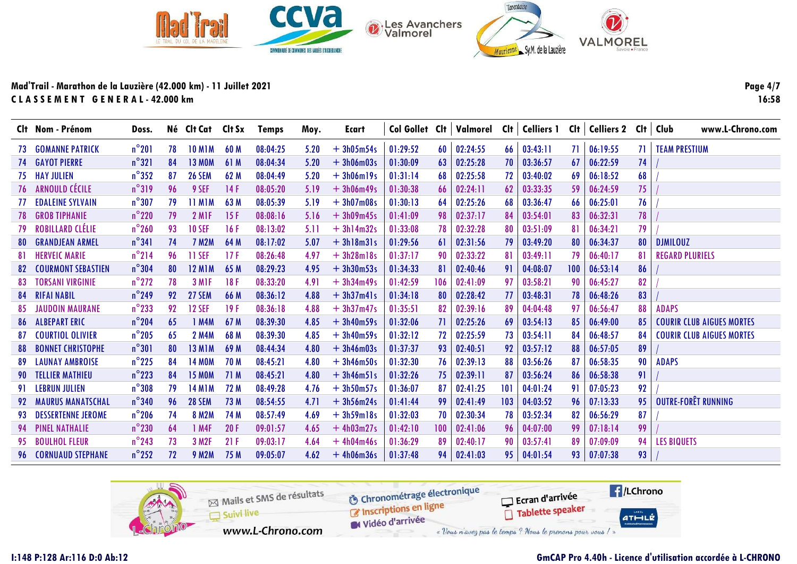

Page 4/7 16:58

|     | Clt Nom - Prénom            | Doss.           |    | Né Clt Cat Clt Sx |      | Temps    | Moy. | Ecart       | Col Gollet Clt |      | Valmorel | Clt | <b>Celliers 1</b> | Clt | Celliers 2 Clt   Club |     | www.L-Chrono.com                 |
|-----|-----------------------------|-----------------|----|-------------------|------|----------|------|-------------|----------------|------|----------|-----|-------------------|-----|-----------------------|-----|----------------------------------|
| 73  | <b>GOMANNE PATRICK</b>      | $n^{\circ}201$  | 78 | <b>10 M1M</b>     | 60 M | 08:04:25 | 5.20 | $+3h05m54s$ | 01:29:52       | 60   | 02:24:55 | 66  | 03:43:11          | 71  | 06:19:55              | -71 | <b>TEAM PRESTIUM</b>             |
|     | <b>74 GAYOT PIERRE</b>      | $n^{\circ}321$  | 84 | <b>13 MOM</b>     | 61 M | 08:04:34 | 5.20 | $+3h06m03s$ | 01:30:09       | 63   | 02:25:28 | 70  | 03:36:57          | 67  | 06:22:59              | 74  |                                  |
| 75  | <b>HAY JULIEN</b>           | $n^{\circ}352$  | 87 | <b>26 SEM</b>     | 62 M | 08:04:49 | 5.20 | $+3h06m19s$ | 01:31:14       | 68   | 02:25:58 | 72  | 03:40:02          | 69  | 06:18:52              | 68  |                                  |
| 76  | ARNOULD CÉCILE              | $n^{\circ}319$  | 96 | 9 SEF             | 14F  | 08:05:20 | 5.19 | $+3h06m49s$ | 01:30:38       | 66   | 02:24:11 | 62  | 03:33:35          | 59  | 06:24:59              | 75  |                                  |
| 77  | <b>EDALEINE SYLVAIN</b>     | $n^{\circ}307$  | 79 | <b>11 MIM</b>     | 63 M | 08:05:39 | 5.19 | $+3h07m08s$ | 01:30:13       | 64   | 02:25:26 | 68  | 03:36:47          | 66  | 06:25:01              | 76  |                                  |
| 78  | <b>GROB TIPHANIE</b>        | $n^{\circ}$ 220 | 79 | 2 M <sub>IF</sub> | 15F  | 08:08:16 | 5.16 | $+3h09m45s$ | 01:41:09       | 98   | 02:37:17 | 84  | 03:54:01          | 83  | 06:32:31              | 78  |                                  |
| 79  | <b>ROBILLARD CLÉLIE</b>     | $n^{\circ}$ 260 | 93 | <b>10 SEF</b>     | 16F  | 08:13:02 | 5.11 | $+3h14m32s$ | 01:33:08       | 78   | 02:32:28 | 80  | 03:51:09          | 81  | 06:34:21              | 79  |                                  |
| -80 | <b>GRANDJEAN ARMEL</b>      | $n^{\circ}341$  | 74 | <b>7 M2M</b>      | 64 M | 08:17:02 | 5.07 | $+3h18m31s$ | 01:29:56       | -61  | 02:31:56 | 79  | 03:49:20          | 80  | 06:34:37              | 80  | <b>DJMILOUZ</b>                  |
| 81  | <b>HERVEIC MARIE</b>        | $n^{\circ}$ 214 | 96 | <b>11 SEF</b>     | 17F  | 08:26:48 | 4.97 | $+3h28m18s$ | 01:37:17       | 90   | 02:33:22 | 81  | 03:49:11          | 79  | 06:40:17              | 81  | <b>REGARD PLURIELS</b>           |
| -82 | <b>COURMONT SEBASTIEN</b>   | $n^{\circ}304$  | 80 | <b>12 M1M</b>     | 65 M | 08:29:23 | 4.95 | $+3h30m53s$ | 01:34:33       | -81  | 02:40:46 | 91  | 04:08:07          | 100 | 06:53:14              | 86  |                                  |
| -83 | <b>TORSANI VIRGINIE</b>     | $n^{\circ}$ 272 | 78 | 3 M <sub>IF</sub> | 18F  | 08:33:20 | 4.91 | $+3h34m49s$ | 01:42:59       | 106  | 02:41:09 | 97  | 03:58:21          | 90  | 06:45:27              | 82  |                                  |
| 84  | <b>RIFAI NABIL</b>          | $n^{\circ}$ 249 | 92 | <b>27 SEM</b>     | 66 M | 08:36:12 | 4.88 | $+3h37m41s$ | 01:34:18       | 80   | 02:28:42 | 77  | 03:48:31          | 78  | 06:48:26              | 83  |                                  |
| 85  | <b>JAUDOIN MAURANE</b>      | $n^{\circ}$ 233 | 92 | <b>12 SEF</b>     | 19F  | 08:36:18 | 4.88 | $+3h37m47s$ | 01:35:51       | 82   | 02:39:16 | 89  | 04:04:48          | 97  | 06:56:47              | 88  | <b>ADAPS</b>                     |
| 86  | <b>ALBEPART ERIC</b>        | $n^{\circ}$ 204 | 65 | 1 M4M             | 67 M | 08:39:30 | 4.85 | $+3h40m59s$ | 01:32:06       | -71  | 02:25:26 | 69  | 03:54:13          | 85  | 06:49:00              | 85  | <b>COURIR CLUB AIGUES MORTES</b> |
| 87  | <b>COURTIOL OLIVIER</b>     | $n^{\circ}$ 205 | 65 | <b>2 M4M</b>      | 68 M | 08:39:30 | 4.85 | $+3h40m59s$ | 01:32:12       | 72   | 02:25:59 | 73  | 03:54:11          | 84  | 06:48:57              | 84  | <b>COURIR CLUB AIGUES MORTES</b> |
| 88  | <b>BONNET CHRISTOPHE</b>    | $n^{\circ}301$  | 80 | <b>13 M1M</b>     | 69 M | 08:44:34 | 4.80 | $+3h46m03s$ | 01:37:37       | 93   | 02:40:51 | 92  | 03:57:12          | 88  | 06:57:05              | 89  |                                  |
| -89 | <b>LAUNAY AMBROISE</b>      | $n^{\circ}$ 225 | 84 | <b>14 MOM</b>     | 70 M | 08:45:21 | 4.80 | $+3h46m50s$ | 01:32:30       | 76   | 02:39:13 | 88  | 03:56:26          | 87  | 06:58:35              | 90  | <b>ADAPS</b>                     |
| 90  | <b>TELLIER MATHIEU</b>      | $n^{\circ}$ 223 | 84 | <b>15 MOM</b>     | 71 M | 08:45:21 | 4.80 | $+3h46m51s$ | 01:32:26       | 75   | 02:39:11 | 87  | 03:56:24          | 86  | 06:58:38              | 91  |                                  |
|     | <b>LEBRUN JULIEN</b>        | $n^{\circ}308$  | 79 | <b>14 M1M</b>     | 72 M | 08:49:28 | 4.76 | $+3h50m57s$ | 01:36:07       | -87  | 02:41:25 | 101 | 04:01:24          | 91  | 07:05:23              | 92  |                                  |
| 92  | <b>MAURUS MANATSCHAL</b>    | $n^{\circ}340$  | 96 | <b>28 SEM</b>     | 73 M | 08:54:55 | 4.71 | $+3h56m24s$ | 01:41:44       | 99   | 02:41:49 | 103 | 04:03:52          | 96  | 07:13:33              | 95  | OUTRE-FORÊT RUNNING              |
| 93. | <b>DESSERTENNE JEROME</b>   | $n^{\circ}$ 206 | 74 | <b>8 M2M</b>      | 74 M | 08:57:49 | 4.69 | $+3h59m18s$ | 01:32:03       | 70   | 02:30:34 | 78  | 03:52:34          | 82  | 06:56:29              | 87  |                                  |
| 94  | <b>PINEL NATHALIE</b>       | $n^{\circ}$ 230 | 64 | 1 M4F             | 20F  | 09:01:57 | 4.65 | $+4h03m27s$ | 01:42:10       | 100  | 02:41:06 | 96  | 04:07:00          | 99  | 07:18:14              | 99  |                                  |
| 95. | <b>BOULHOL FLEUR</b>        | $n^{\circ}$ 243 | 73 | 3 M <sub>2F</sub> | 21F  | 09:03:17 | 4.64 | $+4h04m46s$ | 01:36:29       | 89   | 02:40:17 | 90  | 03:57:41          | 89  | 07:09:09              | 94  | <b>LES BIQUETS</b>               |
|     | <b>96 CORNUAUD STEPHANE</b> | $n^{\circ}$ 252 | 72 | <b>9 M2M</b>      | 75 M | 09:05:07 | 4.62 | $+4h06m36s$ | 01:37:48       | 94 I | 02:41:03 | 95  | 04:01:54          | 93  | 07:07:38              | 93  |                                  |

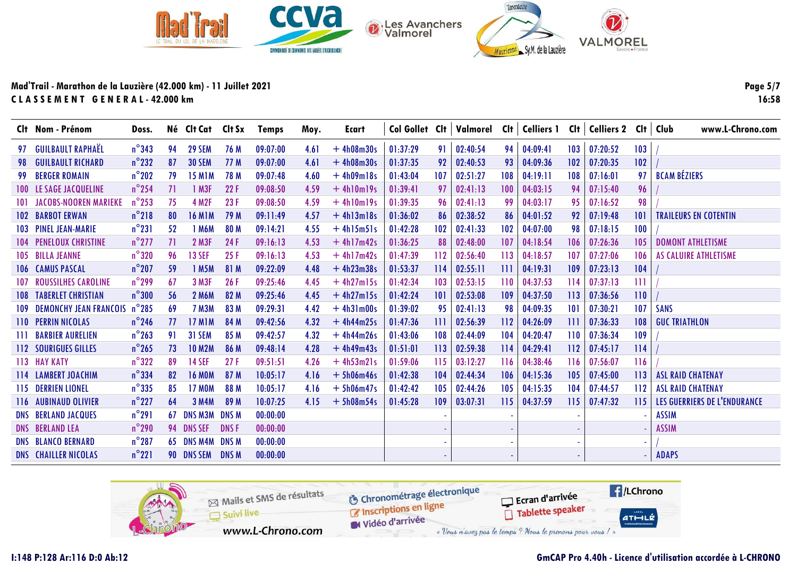

Page 5/7 16:58

|                | Clt Nom - Prénom              | Doss.           |    | Né Clt Cat    | Clt Sx       | Temps    | Moy. | <b>Ecart</b> |          |     | Col Gollet Clt   Valmorel Clt   Celliers 1 |     |          | Cl <sub>t</sub> | Celliers 2 Clt   Club |     | www.L-Chrono.com             |
|----------------|-------------------------------|-----------------|----|---------------|--------------|----------|------|--------------|----------|-----|--------------------------------------------|-----|----------|-----------------|-----------------------|-----|------------------------------|
| 97             | <b>GUILBAULT RAPHAËL</b>      | $n^{\circ}$ 343 | 94 | <b>29 SEM</b> | 76 M         | 09:07:00 | 4.61 | $+4h08m30s$  | 01:37:29 | 91  | 02:40:54                                   | 94  | 04:09:41 | 103             | 07:20:52              | 103 |                              |
| 98             | <b>GUILBAULT RICHARD</b>      | $n^{\circ}$ 232 | 87 | <b>30 SEM</b> | 77 M         | 09:07:00 | 4.61 | $+4h08m30s$  | 01:37:35 | 92  | 02:40:53                                   | 93  | 04:09:36 | 102             | 07:20:35              | 102 |                              |
| 99             | <b>BERGER ROMAIN</b>          | $n^{\circ}$ 202 | 79 | <b>15 M1M</b> | 78 M         | 09:07:48 | 4.60 | $+4h09m18s$  | 01:43:04 | 107 | 02:51:27                                   | 108 | 04:19:11 | 108             | 07:16:01              | 97  | <b>BCAM BÉZIERS</b>          |
| $100-1$        | LE SAGE JACQUELINE            | $n^{\circ}$ 254 | 71 | 1 M3F         | 22F          | 09:08:50 | 4.59 | $+4h10m19s$  | 01:39:41 | 97  | 02:41:13                                   | 100 | 04:03:15 | 94              | 07:15:40              | 96  |                              |
| <b>101</b>     | <b>JACOBS-NOOREN MARIEKE</b>  | $n^{\circ}$ 253 | 75 | <b>4 M2F</b>  | 23F          | 09:08:50 | 4.59 | $+4h10m19s$  | 01:39:35 | 96  | 02:41:13                                   | 99  | 04:03:17 | 95              | 07:16:52              | 98  |                              |
| 102            | <b>BARBOT ERWAN</b>           | $n^{\circ}$ 218 | 80 | <b>16 M1M</b> | 79 M         | 09:11:49 | 4.57 | $+4h13m18s$  | 01:36:02 | 86  | 02:38:52                                   | 86  | 04:01:52 | 92              | 07:19:48              | 101 | <b>TRAILEURS EN COTENTIN</b> |
|                | <b>103 PINEL JEAN-MARIE</b>   | $n^{\circ}231$  | 52 | 1 M6M         | 80 M         | 09:14:21 | 4.55 | $+4h15m51s$  | 01:42:28 | 102 | 02:41:33                                   | 102 | 04:07:00 | 98              | 07:18:15              | 100 |                              |
|                | <b>104 PENELOUX CHRISTINE</b> | $n^{\circ}$ 277 | 71 | 2 M3F         | 24 F         | 09:16:13 | 4.53 | $+4h17m42s$  | 01:36:25 | 88  | 02:48:00                                   | 107 | 04:18:54 | 106             | 07:26:36              | 105 | <b>DOMONT ATHLETISME</b>     |
|                | 105 BILLA JEANNE              | $n^{\circ}320$  | 96 | <b>13 SEF</b> | 25F          | 09:16:13 | 4.53 | $+4h17m42s$  | 01:47:39 | 112 | 02:56:40                                   | 113 | 04:18:57 | 107             | 07:27:06              | 106 | AS CALUIRE ATHLETISME        |
|                | <b>106 CAMUS PASCAL</b>       | $n^{\circ}$ 207 | 59 | 1 M5M         | 81 M         | 09:22:09 | 4.48 | $+4h23m38s$  | 01:53:37 | 114 | 02:55:11                                   | 111 | 04:19:31 | 109             | 07:23:13              | 104 |                              |
| 107            | <b>ROUSSILHES CAROLINE</b>    | $n^{\circ}$ 299 | 67 | 3 M3F         | 26F          | 09:25:46 | 4.45 | $+4h27m15s$  | 01:42:34 | 103 | 02:53:15                                   | 110 | 04:37:53 | 114             | 07:37:13              | Ш   |                              |
| <b>108</b>     | <b>TABERLET CHRISTIAN</b>     | $n^{\circ}300$  | 56 | 2 M6M         | 82 M         | 09:25:46 | 4.45 | $+4h27m15s$  | 01:42:24 | 101 | 02:53:08                                   | 109 | 04:37:50 | 113             | 07:36:56              | 110 |                              |
| <b>109</b>     | <b>DEMONCHY JEAN FRANCOIS</b> | $n^{\circ}$ 285 | 69 | <b>7 M3M</b>  | 83 M         | 09:29:31 | 4.42 | $+4h31m00s$  | 01:39:02 | 95  | 02:41:13                                   | 98  | 04:09:35 | 0               | 07:30:21              | 107 | <b>SANS</b>                  |
| 110            | <b>PERRIN NICOLAS</b>         | $n^{\circ}$ 246 | 77 | <b>17 M1M</b> | 84 M         | 09:42:56 | 4.32 | $+4h44m25s$  | 01:47:36 | 11  | 02:56:39                                   | 112 | 04:26:09 | Ħ               | 07:36:33              | 108 | <b>GUC TRIATHLON</b>         |
| -111           | <b>BARBIER AURELIEN</b>       | $n^{\circ}$ 263 | 91 | <b>31 SEM</b> | 85 M         | 09:42:57 | 4.32 | $+4h44m26s$  | 01:43:06 | 108 | 02:44:09                                   | 104 | 04:20:47 | 110             | 07:36:34              | 109 |                              |
| 112            | SOURIGUES GILLES              | $n^{\circ}$ 265 | 73 | <b>10 M2M</b> | 86 M         | 09:48:14 | 4.28 | $+4h49m43s$  | 01:51:01 | 113 | 02:59:38                                   | 114 | 04:29:41 | 112             | 07:45:17              | 114 |                              |
|                | 113 HAY KATY                  | $n^{\circ}322$  | 89 | <b>14 SEF</b> | 27F          | 09:51:51 | 4.26 | $+4h53m21s$  | 01:59:06 | 115 | 03:12:27                                   | 116 | 04:38:46 | 116             | 07:56:07              | 116 |                              |
|                | 114 LAMBERT JOACHIM           | $n^{\circ}$ 334 | 82 | <b>16 MOM</b> | 87 M         | 10:05:17 | 4.16 | $+ 5h06m46s$ | 01:42:38 | 104 | 02:44:34                                   | 106 | 04:15:36 | 105             | 07:45:00              | 113 | <b>ASL RAID CHATENAY</b>     |
|                | 115 DERRIEN LIONEL            | $n^{\circ}$ 335 | 85 | <b>17 MOM</b> | 88 M         | 10:05:17 | 4.16 | $+ 5h06m47s$ | 01:42:42 | 105 | 02:44:26                                   | 105 | 04:15:35 | 104             | 07:44:57              | 112 | <b>ASL RAID CHATENAY</b>     |
|                | 116 AUBINAUD OLIVIER          | $n^{\circ}$ 227 | 64 | 3 M4M         | 89 M         | 10:07:25 | 4.15 | $+ 5h08m54s$ | 01:45:28 | 109 | 03:07:31                                   | 115 | 04:37:59 | 115             | 07:47:32              | 115 | LES GUERRIERS DE L'ENDURANCE |
| <b>DNS</b>     | <b>BERLAND JACQUES</b>        | $n^{\circ}291$  | 67 | DNS M3M       | <b>DNS M</b> | 00:00:00 |      |              |          |     |                                            |     |          |                 |                       |     | <b>ASSIM</b>                 |
|                | <b>DNS BERLAND LEA</b>        | $n^{\circ}$ 290 |    | 94 DNS SEF    | <b>DNSF</b>  | 00:00:00 |      |              |          |     |                                            |     |          |                 |                       |     | <b>ASSIM</b>                 |
| DNS <b>DNS</b> | <b>BLANCO BERNARD</b>         | $n^{\circ}287$  |    | 65 DNS M4M    | <b>DNS M</b> | 00:00:00 |      |              |          |     |                                            |     |          |                 |                       |     |                              |
|                | <b>DNS CHAILLER NICOLAS</b>   | $n^{\circ}221$  |    | 90 DNS SEM    | <b>DNSM</b>  | 00:00:00 |      |              |          |     |                                            |     |          |                 |                       |     | <b>ADAPS</b>                 |

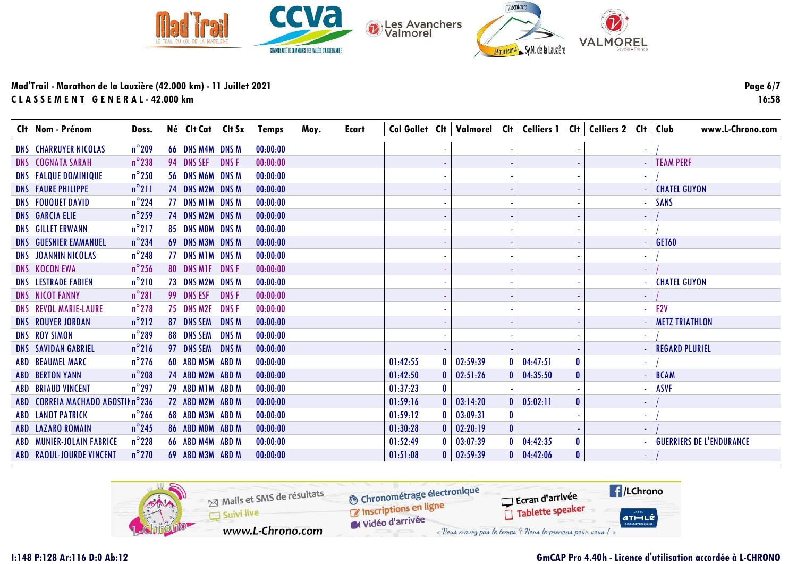

Page 6/7 16:58

| Clt Nom - Prénom                  | Doss.           |                  |              | Né Clt Cat Clt Sx Temps | Moy. | <b>Ecart</b> |          |              |                   |              | Col Gollet Cit   Valmorel Cit   Celliers 1 Cit   Celliers 2 Cit   Club |          |  | www.L-Chrono.com                |
|-----------------------------------|-----------------|------------------|--------------|-------------------------|------|--------------|----------|--------------|-------------------|--------------|------------------------------------------------------------------------|----------|--|---------------------------------|
| <b>DNS CHARRUYER NICOLAS</b>      | $n^{\circ}$ 209 | 66 DNS M4M DNS M |              | 00:00:00                |      |              |          |              |                   |              |                                                                        |          |  |                                 |
| <b>DNS COGNATA SARAH</b>          | $n^{\circ}$ 238 | 94 DNS SEF       | DNS F        | 00:00:00                |      |              |          |              |                   |              |                                                                        |          |  | <b>TEAM PERF</b>                |
| <b>DNS FALQUE DOMINIQUE</b>       | $n^{\circ}$ 250 | 56 DNS M6M DNS M |              | 00:00:00                |      |              |          |              |                   |              |                                                                        |          |  |                                 |
| <b>DNS FAURE PHILIPPE</b>         | $n^{\circ}$ 211 | 74 DNS M2M DNS M |              | 00:00:00                |      |              |          |              |                   |              |                                                                        |          |  | <b>CHATEL GUYON</b>             |
| <b>DNS FOUQUET DAVID</b>          | $n^{\circ}$ 224 | 77 DNS M1M DNS M |              | 00:00:00                |      |              |          |              |                   |              |                                                                        |          |  | <b>SANS</b>                     |
| <b>DNS GARCIA ELIE</b>            | $n^{\circ}$ 259 | 74 DNS M2M       | <b>DNSM</b>  | 00:00:00                |      |              |          |              |                   |              |                                                                        |          |  |                                 |
| <b>DNS GILLET ERWANN</b>          | $n^{\circ}$ 217 | 85 DNS MOM DNS M |              | 00:00:00                |      |              |          |              |                   |              |                                                                        |          |  |                                 |
| <b>DNS GUESNIER EMMANUEL</b>      | $n^{\circ}$ 234 | 69 DNS M3M DNS M |              | 00:00:00                |      |              |          |              |                   |              |                                                                        |          |  | GET60                           |
| <b>DNS JOANNIN NICOLAS</b>        | $n^{\circ}$ 248 | 77 DNS M1M DNS M |              | 00:00:00                |      |              |          |              |                   |              |                                                                        |          |  |                                 |
| <b>DNS KOCON EWA</b>              | $n^{\circ}$ 256 | 80 DNS MIF DNSF  |              | 00:00:00                |      |              |          |              |                   |              |                                                                        |          |  |                                 |
| <b>DNS LESTRADE FABIEN</b>        | $n^{\circ}210$  | 73 DNS M2M       | <b>DNS M</b> | 00:00:00                |      |              |          |              |                   |              |                                                                        |          |  | <b>CHATEL GUYON</b>             |
| <b>DNS NICOT FANNY</b>            | $n^{\circ}281$  | 99 DNS ESF       | <b>DNSF</b>  | 00:00:00                |      |              |          |              |                   |              |                                                                        |          |  |                                 |
| <b>DNS REVOL MARIE-LAURE</b>      | $n^{\circ}$ 278 | 75 DNS M2F       | <b>DNSF</b>  | 00:00:00                |      |              |          |              |                   |              |                                                                        |          |  | F <sub>2V</sub>                 |
| <b>DNS ROUYER JORDAN</b>          | $n^{\circ}212$  | 87 DNS SEM       | <b>DNSM</b>  | 00:00:00                |      |              |          |              |                   |              |                                                                        |          |  | <b>METZ TRIATHLON</b>           |
| <b>DNS ROY SIMON</b>              | $n^{\circ}$ 289 | 88 DNS SEM       | <b>DNSM</b>  | 00:00:00                |      |              |          |              |                   |              |                                                                        |          |  |                                 |
| <b>DNS SAVIDAN GABRIEL</b>        | $n^{\circ}216$  | 97 DNS SEM       | <b>DNSM</b>  | 00:00:00                |      |              |          |              |                   |              |                                                                        |          |  | <b>REGARD PLURIEL</b>           |
| ABD BEAUMEL MARC                  | $n^{\circ}$ 276 | 60 ABD M5M ABD M |              | 00:00:00                |      |              | 01:42:55 | $\mathbf{0}$ | 02:59:39          | $\mathbf{0}$ | 04:47:51                                                               |          |  |                                 |
| <b>ABD BERTON YANN</b>            | $n^{\circ}$ 208 | 74 ABD M2M ABD M |              | 00:00:00                |      |              | 01:42:50 | $\mathbf{0}$ | 02:51:26          | $\mathbf{0}$ | 04:35:50                                                               |          |  | <b>BCAM</b>                     |
| <b>ABD BRIAUD VINCENT</b>         | $n^{\circ}$ 297 | 79 ABD MIM ABD M |              | 00:00:00                |      |              | 01:37:23 | $\mathbf{0}$ |                   |              |                                                                        |          |  | <b>ASVF</b>                     |
| ABD CORREIA MACHADO AGOSTIN n°236 |                 | 72 ABD M2M ABD M |              | 00:00:00                |      |              | 01:59:16 |              | 03:14:20          | $\mathbf{0}$ | 05:02:11                                                               | 0        |  |                                 |
| <b>ABD LANOT PATRICK</b>          | $n^{\circ}$ 266 | 68 ABD M3M ABD M |              | 00:00:00                |      |              | 01:59:12 |              | 03:09:31          | $\mathbf{0}$ |                                                                        |          |  |                                 |
| <b>ABD LAZARO ROMAIN</b>          | $n^{\circ}$ 245 | 86 ABD MOM ABD M |              | 00:00:00                |      |              | 01:30:28 |              | 02:20:19          | $\mathbf{0}$ |                                                                        |          |  |                                 |
| ABD MUNIER-JOLAIN FABRICE         | $n^{\circ}$ 228 | 66 ABD M4M ABD M |              | 00:00:00                |      |              | 01:52:49 | $\mathbf{0}$ | 03:07:39          | $\mathbf{0}$ | 04:42:35                                                               |          |  | <b>GUERRIERS DE L'ENDURANCE</b> |
| ABD RAOUL-JOURDE VINCENT          | $n^{\circ}$ 270 | 69 ABD M3M ABD M |              | 00:00:00                |      |              | 01:51:08 |              | $0 \mid 02:59:39$ |              | $0 \mid 04:42:06$                                                      | $\bf{0}$ |  |                                 |